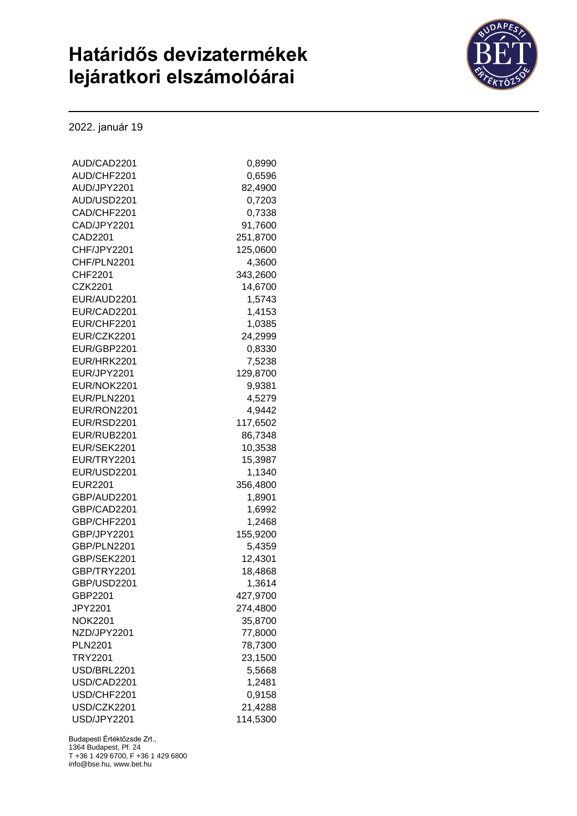## **Határidős devizatermékek lejáratkori elszámolóárai**



2022. január 19

| AUD/CAD2201    | 0.8990   |
|----------------|----------|
| AUD/CHF2201    | 0,6596   |
| AUD/JPY2201    | 82,4900  |
| AUD/USD2201    | 0,7203   |
| CAD/CHF2201    | 0,7338   |
| CAD/JPY2201    | 91,7600  |
| CAD2201        | 251,8700 |
| CHF/JPY2201    | 125,0600 |
| CHF/PLN2201    | 4,3600   |
| CHF2201        | 343,2600 |
| CZK2201        | 14,6700  |
| EUR/AUD2201    | 1,5743   |
| EUR/CAD2201    | 1,4153   |
| EUR/CHF2201    | 1,0385   |
| EUR/CZK2201    | 24,2999  |
| EUR/GBP2201    | 0,8330   |
| EUR/HRK2201    | 7,5238   |
| EUR/JPY2201    | 129,8700 |
| EUR/NOK2201    | 9,9381   |
| EUR/PLN2201    | 4,5279   |
| EUR/RON2201    | 4,9442   |
| EUR/RSD2201    | 117,6502 |
| EUR/RUB2201    | 86,7348  |
| EUR/SEK2201    | 10,3538  |
| EUR/TRY2201    | 15,3987  |
| EUR/USD2201    | 1,1340   |
| <b>EUR2201</b> | 356,4800 |
| GBP/AUD2201    | 1,8901   |
| GBP/CAD2201    | 1,6992   |
| GBP/CHF2201    | 1,2468   |
| GBP/JPY2201    | 155,9200 |
| GBP/PLN2201    | 5,4359   |
| GBP/SEK2201    | 12,4301  |
| GBP/TRY2201    | 18,4868  |
| GBP/USD2201    | 1,3614   |
| GBP2201        | 427,9700 |
| <b>JPY2201</b> | 274,4800 |
| <b>NOK2201</b> |          |
| NZD/JPY2201    | 35,8700  |
|                | 77,8000  |
| <b>PLN2201</b> | 78,7300  |
| <b>TRY2201</b> | 23,1500  |
| USD/BRL2201    | 5,5668   |
| USD/CAD2201    | 1,2481   |
| USD/CHF2201    | 0,9158   |
| USD/CZK2201    | 21,4288  |
| USD/JPY2201    | 114,5300 |

Budapesti Értéktőzsde Zrt., 1364 Budapest, Pf. 24 T +36 1 429 6700, F +36 1 429 6800 info@bse.hu, www.bet.hu